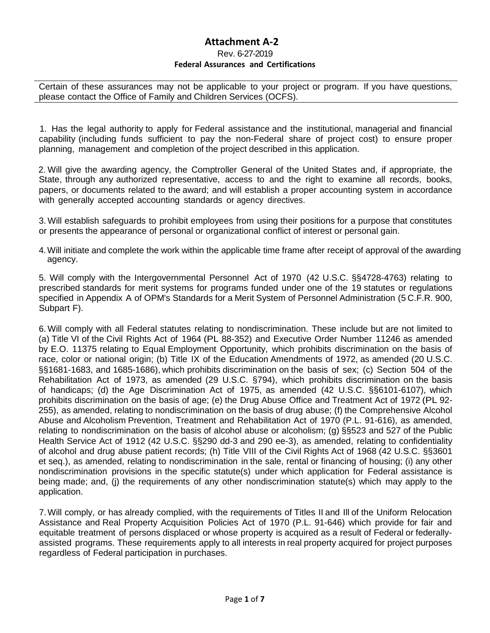## **Attachment A-2**

## Rev. 6-27-2019 **Federal Assurances and Certifications**

Certain of these assurances may not be applicable to your project or program. If you have questions, please contact the Office of Family and Children Services (OCFS).

1. Has the legal authority to apply for Federal assistance and the institutional, managerial and financial capability (including funds sufficient to pay the non-Federal share of project cost) to ensure proper planning, management and completion of the project described in this application.

2. Will give the awarding agency, the Comptroller General of the United States and, if appropriate, the State, through any authorized representative, access to and the right to examine all records, books, papers, or documents related to the award; and will establish a proper accounting system in accordance with generally accepted accounting standards or agency directives.

3. Will establish safeguards to prohibit employees from using their positions for a purpose that constitutes or presents the appearance of personal or organizational conflict of interest or personal gain.

4.Will initiate and complete the work within the applicable time frame after receipt of approval of the awarding agency.

5. Will comply with the Intergovernmental Personnel Act of 1970 (42 U.S.C. §§4728-4763) relating to prescribed standards for merit systems for programs funded under one of the 19 statutes or regulations specified in Appendix A of OPM's Standards for a Merit System of Personnel Administration (5 C.F.R. 900, Subpart F).

6. Will comply with all Federal statutes relating to nondiscrimination. These include but are not limited to (a) Title VI of the Civil Rights Act of 1964 (PL 88-352) and Executive Order Number 11246 as amended by E.O. 11375 relating to Equal Employment Opportunity, which prohibits discrimination on the basis of race, color or national origin; (b) Title IX of the Education Amendments of 1972, as amended (20 U.S.C. §§1681-1683, and 1685-1686), which prohibits discrimination on the basis of sex; (c) Section 504 of the Rehabilitation Act of 1973, as amended (29 U.S.C. §794), which prohibits discrimination on the basis of handicaps; (d) the Age Discrimination Act of 1975, as amended (42 U.S.C. §§6101-6107), which prohibits discrimination on the basis of age; (e) the Drug Abuse Office and Treatment Act of 1972 (PL 92- 255), as amended, relating to nondiscrimination on the basis of drug abuse; (f) the Comprehensive Alcohol Abuse and Alcoholism Prevention, Treatment and Rehabilitation Act of 1970 (P.L. 91-616), as amended, relating to nondiscrimination on the basis of alcohol abuse or alcoholism; (g) §§523 and 527 of the Public Health Service Act of 1912 (42 U.S.C. §§290 dd-3 and 290 ee-3), as amended, relating to confidentiality of alcohol and drug abuse patient records; (h) Title VIII of the Civil Rights Act of 1968 (42 U.S.C. §§3601 et seq.), as amended, relating to nondiscrimination in the sale, rental or financing of housing; (i) any other nondiscrimination provisions in the specific statute(s) under which application for Federal assistance is being made; and, (j) the requirements of any other nondiscrimination statute(s) which may apply to the application.

7.Will comply, or has already complied, with the requirements of Titles II and Ill of the Uniform Relocation Assistance and Real Property Acquisition Policies Act of 1970 (P.L. 91-646) which provide for fair and equitable treatment of persons displaced or whose property is acquired as a result of Federal or federallyassisted programs. These requirements apply to all interests in real property acquired for project purposes regardless of Federal participation in purchases.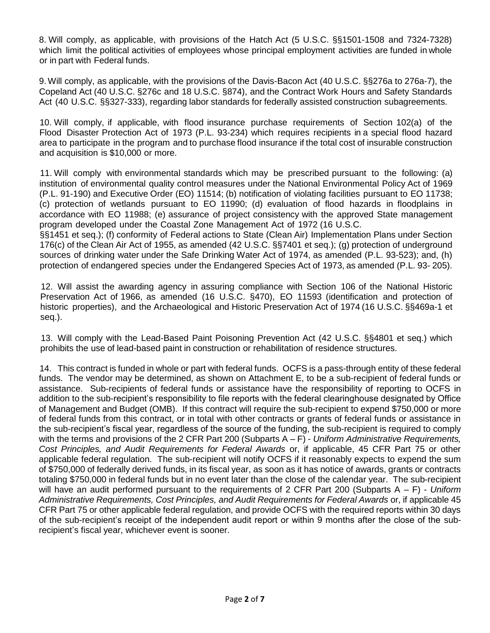8. Will comply, as applicable, with provisions of the Hatch Act (5 U.S.C. §§1501-1508 and 7324-7328) which limit the political activities of employees whose principal employment activities are funded in whole or in part with Federal funds.

9. Will comply, as applicable, with the provisions of the Davis-Bacon Act (40 U.S.C. §§276a to 276a-7), the Copeland Act (40 U.S.C. §276c and 18 U.S.C. §874), and the Contract Work Hours and Safety Standards Act (40 U.S.C. §§327-333), regarding labor standards for federally assisted construction subagreements.

10. Will comply, if applicable, with flood insurance purchase requirements of Section 102(a) of the Flood Disaster Protection Act of 1973 (P.L. 93-234) which requires recipients in a special flood hazard area to participate in the program and to purchase flood insurance if the total cost of insurable construction and acquisition is \$10,000 or more.

11. Will comply with environmental standards which may be prescribed pursuant to the following: (a) institution of environmental quality control measures under the National Environmental Policy Act of 1969 (P.L. 91-190) and Executive Order (EO) 11514; (b) notification of violating facilities pursuant to EO 11738; (c) protection of wetlands pursuant to EO 11990; (d) evaluation of flood hazards in floodplains in accordance with EO 11988; (e) assurance of project consistency with the approved State management program developed under the Coastal Zone Management Act of 1972 (16 U.S.C.

§§1451 et seq.); (f) conformity of Federal actions to State (Clean Air) Implementation Plans under Section 176(c) of the Clean Air Act of 1955, as amended (42 U.S.C. §§7401 et seq.); (g) protection of underground sources of drinking water under the Safe Drinking Water Act of 1974, as amended (P.L. 93-523); and, (h) protection of endangered species under the Endangered Species Act of 1973, as amended (P.L. 93- 205).

12. Will assist the awarding agency in assuring compliance with Section 106 of the National Historic Preservation Act of 1966, as amended (16 U.S.C. §470), EO 11593 (identification and protection of historic properties), and the Archaeological and Historic Preservation Act of 1974 (16 U.S.C. §§469a-1 et seq.).

13. Will comply with the Lead-Based Paint Poisoning Prevention Act (42 U.S.C. §§4801 et seq.) which prohibits the use of lead-based paint in construction or rehabilitation of residence structures.

14. This contract is funded in whole or part with federal funds. OCFS is a pass-through entity of these federal funds. The vendor may be determined, as shown on Attachment E, to be a sub-recipient of federal funds or assistance. Sub-recipients of federal funds or assistance have the responsibility of reporting to OCFS in addition to the sub-recipient's responsibility to file reports with the federal clearinghouse designated by Office of Management and Budget (OMB). If this contract will require the sub-recipient to expend \$750,000 or more of federal funds from this contract, or in total with other contracts or grants of federal funds or assistance in the sub-recipient's fiscal year, regardless of the source of the funding, the sub-recipient is required to comply with the terms and provisions of the 2 CFR Part 200 (Subparts A – F) - *Uniform Administrative Requirements, Cost Principles, and Audit Requirements for Federal Awards* or, if applicable, 45 CFR Part 75 or other applicable federal regulation. The sub-recipient will notify OCFS if it reasonably expects to expend the sum of \$750,000 of federally derived funds, in its fiscal year, as soon as it has notice of awards, grants or contracts totaling \$750,000 in federal funds but in no event later than the close of the calendar year. The sub-recipient will have an audit performed pursuant to the requirements of 2 CFR Part 200 (Subparts A – F) - *Uniform Administrative Requirements, Cost Principles, and Audit Requirements for Federal Awards* or, if applicable 45 CFR Part 75 or other applicable federal regulation, and provide OCFS with the required reports within 30 days of the sub-recipient's receipt of the independent audit report or within 9 months after the close of the subrecipient's fiscal year, whichever event is sooner.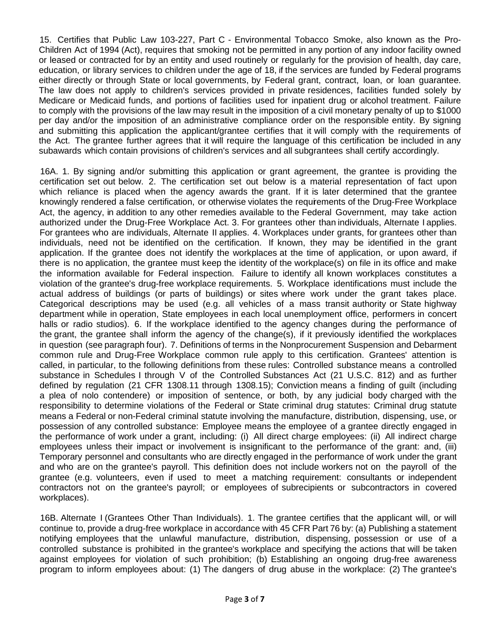15. Certifies that Public Law 103-227, Part C - Environmental Tobacco Smoke, also known as the Pro-Children Act of 1994 (Act), requires that smoking not be permitted in any portion of any indoor facility owned or leased or contracted for by an entity and used routinely or regularly for the provision of health, day care, education, or library services to children under the age of 18, if the services are funded by Federal programs either directly or through State or local governments, by Federal grant, contract, loan, or loan guarantee. The law does not apply to children's services provided in private residences, facilities funded solely by Medicare or Medicaid funds, and portions of facilities used for inpatient drug or alcohol treatment. Failure to comply with the provisions of the law may result in the imposition of a civil monetary penalty of up to \$1000 per day and/or the imposition of an administrative compliance order on the responsible entity. By signing and submitting this application the applicant/grantee certifies that it will comply with the requirements of the Act. The grantee further agrees that it will require the language of this certification be included in any subawards which contain provisions of children's services and all subgrantees shall certify accordingly.

16A. 1. By signing and/or submitting this application or grant agreement, the grantee is providing the certification set out below. 2. The certification set out below is a material representation of fact upon which reliance is placed when the agency awards the grant. If it is later determined that the grantee knowingly rendered a false certification, or otherwise violates the requirements of the Drug-Free Workplace Act, the agency, in addition to any other remedies available to the Federal Government, may take action authorized under the Drug-Free Workplace Act. 3. For grantees other than individuals, Alternate I applies. For grantees who are individuals, Alternate II applies. 4. Workplaces under grants, for grantees other than individuals, need not be identified on the certification. If known, they may be identified in the grant application. If the grantee does not identify the workplaces at the time of application, or upon award, if there is no application, the grantee must keep the identity of the workplace(s) on file in its office and make the information available for Federal inspection. Failure to identify all known workplaces constitutes a violation of the grantee's drug-free workplace requirements. 5. Workplace identifications must include the actual address of buildings (or parts of buildings) or sites where work under the grant takes place. Categorical descriptions may be used (e.g. all vehicles of a mass transit authority or State highway department while in operation, State employees in each local unemployment office, performers in concert halls or radio studios). 6. If the workplace identified to the agency changes during the performance of the grant, the grantee shall inform the agency of the change(s), if it previously identified the workplaces in question (see paragraph four). 7. Definitions of terms in the Nonprocurement Suspension and Debarment common rule and Drug-Free Workplace common rule apply to this certification. Grantees' attention is called, in particular, to the following definitions from these rules: Controlled substance means a controlled substance in Schedules I through V of the Controlled Substances Act (21 U.S.C. 812) and as further defined by regulation (21 CFR 1308.11 through 1308.15); Conviction means a finding of guilt (including a plea of nolo contendere) or imposition of sentence, or both, by any judicial body charged with the responsibility to determine violations of the Federal or State criminal drug statutes: Criminal drug statute means a Federal or non-Federal criminal statute involving the manufacture, distribution, dispensing, use, or possession of any controlled substance: Employee means the employee of a grantee directly engaged in the performance of work under a grant, including: (i) All direct charge employees: (ii) All indirect charge employees unless their impact or involvement is insignificant to the performance of the grant: and, (iii) Temporary personnel and consultants who are directly engaged in the performance of work under the grant and who are on the grantee's payroll. This definition does not include workers not on the payroll of the grantee (e.g. volunteers, even if used to meet a matching requirement: consultants or independent contractors not on the grantee's payroll; or employees of subrecipients or subcontractors in covered workplaces).

16B. Alternate I (Grantees Other Than Individuals). 1. The grantee certifies that the applicant will, or will continue to, provide a drug-free workplace in accordance with 45 CFR Part 76 by: (a) Publishing a statement notifying employees that the unlawful manufacture, distribution, dispensing, possession or use of a controlled substance is prohibited in the grantee's workplace and specifying the actions that will be taken against employees for violation of such prohibition; (b) Establishing an ongoing drug-free awareness program to inform employees about: (1) The dangers of drug abuse in the workplace: (2) The grantee's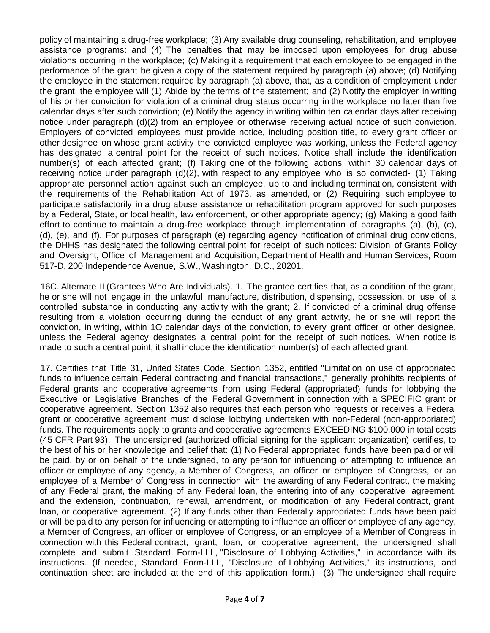policy of maintaining a drug-free workplace; (3) Any available drug counseling, rehabilitation, and employee assistance programs: and (4) The penalties that may be imposed upon employees for drug abuse violations occurring in the workplace; (c) Making it a requirement that each employee to be engaged in the performance of the grant be given a copy of the statement required by paragraph (a) above; (d) Notifying the employee in the statement required by paragraph (a) above, that, as a condition of employment under the grant, the employee will (1) Abide by the terms of the statement; and (2) Notify the employer in writing of his or her conviction for violation of a criminal drug status occurring in the workplace no later than five calendar days after such conviction; (e) Notify the agency in writing within ten calendar days after receiving notice under paragraph (d)(2) from an employee or otherwise receiving actual notice of such conviction. Employers of convicted employees must provide notice, including position title, to every grant officer or other designee on whose grant activity the convicted employee was working, unless the Federal agency has designated a central point for the receipt of such notices. Notice shall include the identification number(s) of each affected grant; (f) Taking one of the following actions, within 30 calendar days of receiving notice under paragraph (d)(2), with respect to any employee who is so convicted- (1) Taking appropriate personnel action against such an employee, up to and including termination, consistent with the requirements of the Rehabilitation Act of 1973, as amended, or (2) Requiring such employee to participate satisfactorily in a drug abuse assistance or rehabilitation program approved for such purposes by a Federal, State, or local health, law enforcement, or other appropriate agency; (g) Making a good faith effort to continue to maintain a drug-free workplace through implementation of paragraphs (a), (b), (c), (d), (e), and (f). For purposes of paragraph (e) regarding agency notification of criminal drug convictions, the DHHS has designated the following central point for receipt of such notices: Division of Grants Policy and Oversight, Office of Management and Acquisition, Department of Health and Human Services, Room 517-D, 200 Independence Avenue, S.W., Washington, D.C., 20201.

16C. Alternate II (Grantees Who Are Individuals). 1. The grantee certifies that, as a condition of the grant, he or she will not engage in the unlawful manufacture, distribution, dispensing, possession, or use of a controlled substance in conducting any activity with the grant; 2. If convicted of a criminal drug offense resulting from a violation occurring during the conduct of any grant activity, he or she will report the conviction, in writing, within 1O calendar days of the conviction, to every grant officer or other designee, unless the Federal agency designates a central point for the receipt of such notices. When notice is made to such a central point, it shall include the identification number(s) of each affected grant.

17. Certifies that Title 31, United States Code, Section 1352, entitled "Limitation on use of appropriated funds to influence certain Federal contracting and financial transactions," generally prohibits recipients of Federal grants and cooperative agreements from using Federal (appropriated) funds for lobbying the Executive or Legislative Branches of the Federal Government in connection with a SPECIFIC grant or cooperative agreement. Section 1352 also requires that each person who requests or receives a Federal grant or cooperative agreement must disclose lobbying undertaken with non-Federal (non-appropriated) funds. The requirements apply to grants and cooperative agreements EXCEEDING \$100,000 in total costs (45 CFR Part 93). The undersigned (authorized official signing for the applicant organization) certifies, to the best of his or her knowledge and belief that: (1) No Federal appropriated funds have been paid or will be paid, by or on behalf of the undersigned, to any person for influencing or attempting to influence an officer or employee of any agency, a Member of Congress, an officer or employee of Congress, or an employee of a Member of Congress in connection with the awarding of any Federal contract, the making of any Federal grant, the making of any Federal loan, the entering into of any cooperative agreement, and the extension, continuation, renewal, amendment, or modification of any Federal contract, grant, loan, or cooperative agreement. (2) If any funds other than Federally appropriated funds have been paid or will be paid to any person for influencing or attempting to influence an officer or employee of any agency, a Member of Congress, an officer or employee of Congress, or an employee of a Member of Congress in connection with this Federal contract, grant, loan, or cooperative agreement, the undersigned shall complete and submit Standard Form-LLL, "Disclosure of Lobbying Activities," in accordance with its instructions. (If needed, Standard Form-LLL, "Disclosure of Lobbying Activities," its instructions, and continuation sheet are included at the end of this application form.) (3) The undersigned shall require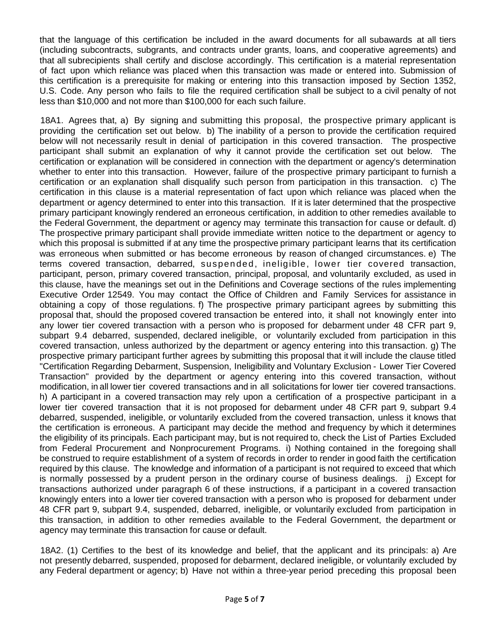that the language of this certification be included in the award documents for all subawards at all tiers (including subcontracts, subgrants, and contracts under grants, loans, and cooperative agreements) and that all subrecipients shall certify and disclose accordingly. This certification is a material representation of fact upon which reliance was placed when this transaction was made or entered into. Submission of this certification is a prerequisite for making or entering into this transaction imposed by Section 1352, U.S. Code. Any person who fails to file the required certification shall be subject to a civil penalty of not less than \$10,000 and not more than \$100,000 for each such failure.

18A1. Agrees that, a) By signing and submitting this proposal, the prospective primary applicant is providing the certification set out below. b) The inability of a person to provide the certification required below will not necessarily result in denial of participation in this covered transaction. The prospective participant shall submit an explanation of why it cannot provide the certification set out below. The certification or explanation will be considered in connection with the department or agency's determination whether to enter into this transaction. However, failure of the prospective primary participant to furnish a certification or an explanation shall disqualify such person from participation in this transaction. c) The certification in this clause is a material representation of fact upon which reliance was placed when the department or agency determined to enter into this transaction. If it is later determined that the prospective primary participant knowingly rendered an erroneous certification, in addition to other remedies available to the Federal Government, the department or agency may terminate this transaction for cause or default. d) The prospective primary participant shall provide immediate written notice to the department or agency to which this proposal is submitted if at any time the prospective primary participant learns that its certification was erroneous when submitted or has become erroneous by reason of changed circumstances. e) The terms covered transaction, debarred, suspended, ineligible, lower tier covered transaction, participant, person, primary covered transaction, principal, proposal, and voluntarily excluded, as used in this clause, have the meanings set out in the Definitions and Coverage sections of the rules implementing Executive Order 12549. You may contact the Office of Children and Family Services for assistance in obtaining a copy of those regulations. f) The prospective primary participant agrees by submitting this proposal that, should the proposed covered transaction be entered into, it shall not knowingly enter into any lower tier covered transaction with a person who is proposed for debarment under 48 CFR part 9, subpart 9.4 debarred, suspended, declared ineligible, or voluntarily excluded from participation in this covered transaction, unless authorized by the department or agency entering into this transaction. g) The prospective primary participant further agrees by submitting this proposal that it will include the clause titled "Certification Regarding Debarment, Suspension, Ineligibility and Voluntary Exclusion - Lower Tier Covered Transaction" provided by the department or agency entering into this covered transaction, without modification, in all lower tier covered transactions and in all solicitations for lower tier covered transactions. h) A participant in a covered transaction may rely upon a certification of a prospective participant in a lower tier covered transaction that it is not proposed for debarment under 48 CFR part 9, subpart 9.4 debarred, suspended, ineligible, or voluntarily excluded from the covered transaction, unless it knows that the certification is erroneous. A participant may decide the method and frequency by which it determines the eligibility of its principals. Each participant may, but is not required to, check the List of Parties Excluded from Federal Procurement and Nonprocurement Programs. i) Nothing contained in the foregoing shall be construed to require establishment of a system of records in order to render in good faith the certification required by this clause. The knowledge and information of a participant is not required to exceed that which is normally possessed by a prudent person in the ordinary course of business dealings. j) Except for transactions authorized under paragraph 6 of these instructions, if a participant in a covered transaction knowingly enters into a lower tier covered transaction with a person who is proposed for debarment under 48 CFR part 9, subpart 9.4, suspended, debarred, ineligible, or voluntarily excluded from participation in this transaction, in addition to other remedies available to the Federal Government, the department or agency may terminate this transaction for cause or default.

18A2. (1) Certifies to the best of its knowledge and belief, that the applicant and its principals: a) Are not presently debarred, suspended, proposed for debarment, declared ineligible, or voluntarily excluded by any Federal department or agency; b) Have not within a three-year period preceding this proposal been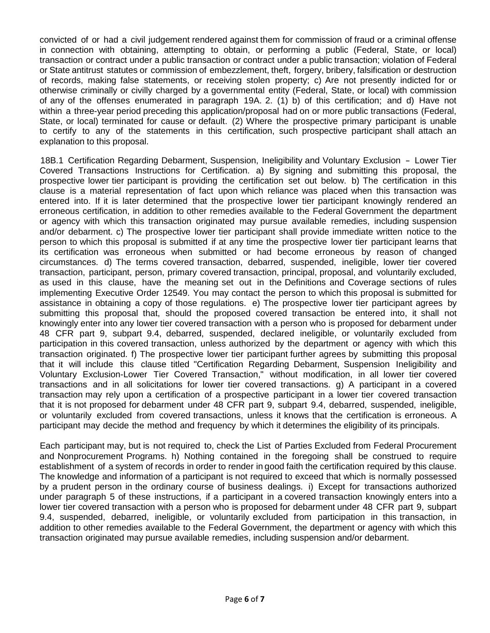convicted of or had a civil judgement rendered against them for commission of fraud or a criminal offense in connection with obtaining, attempting to obtain, or performing a public (Federal, State, or local) transaction or contract under a public transaction or contract under a public transaction; violation of Federal or State antitrust statutes or commission of embezzlement, theft, forgery, bribery, falsification or destruction of records, making false statements, or receiving stolen property; c) Are not presently indicted for or otherwise criminally or civilly charged by a governmental entity (Federal, State, or local) with commission of any of the offenses enumerated in paragraph 19A. 2. (1) b) of this certification; and d) Have not within a three-year period preceding this application/proposal had on or more public transactions (Federal, State, or local) terminated for cause or default. (2) Where the prospective primary participant is unable to certify to any of the statements in this certification, such prospective participant shall attach an explanation to this proposal.

18B.1 Certification Regarding Debarment, Suspension, Ineligibility and Voluntary Exclusion - Lower Tier Covered Transactions Instructions for Certification. a) By signing and submitting this proposal, the prospective lower tier participant is providing the certification set out below. b) The certification in this clause is a material representation of fact upon which reliance was placed when this transaction was entered into. If it is later determined that the prospective lower tier participant knowingly rendered an erroneous certification, in addition to other remedies available to the Federal Government the department or agency with which this transaction originated may pursue available remedies, including suspension and/or debarment. c) The prospective lower tier participant shall provide immediate written notice to the person to which this proposal is submitted if at any time the prospective lower tier participant learns that its certification was erroneous when submitted or had become erroneous by reason of changed circumstances. d) The terms covered transaction, debarred, suspended, ineligible, lower tier covered transaction, participant, person, primary covered transaction, principal, proposal, and voluntarily excluded, as used in this clause, have the meaning set out in the Definitions and Coverage sections of rules implementing Executive Order 12549. You may contact the person to which this proposal is submitted for assistance in obtaining a copy of those regulations. e) The prospective lower tier participant agrees by submitting this proposal that, should the proposed covered transaction be entered into, it shall not knowingly enter into any lower tier covered transaction with a person who is proposed for debarment under 48 CFR part 9, subpart 9.4, debarred, suspended, declared ineligible, or voluntarily excluded from participation in this covered transaction, unless authorized by the department or agency with which this transaction originated. f) The prospective lower tier participant further agrees by submitting this proposal that it will include this clause titled "Certification Regarding Debarment, Suspension Ineligibility and Voluntary Exclusion-Lower Tier Covered Transaction," without modification, in all lower tier covered transactions and in all solicitations for lower tier covered transactions. g) A participant in a covered transaction may rely upon a certification of a prospective participant in a lower tier covered transaction that it is not proposed for debarment under 48 CFR part 9, subpart 9.4, debarred, suspended, ineligible, or voluntarily excluded from covered transactions, unless it knows that the certification is erroneous. A participant may decide the method and frequency by which it determines the eligibility of its principals.

Each participant may, but is not required to, check the List of Parties Excluded from Federal Procurement and Nonprocurement Programs. h) Nothing contained in the foregoing shall be construed to require establishment of a system of records in order to render in good faith the certification required by this clause. The knowledge and information of a participant is not required to exceed that which is normally possessed by a prudent person in the ordinary course of business dealings. i) Except for transactions authorized under paragraph 5 of these instructions, if a participant in a covered transaction knowingly enters into a lower tier covered transaction with a person who is proposed for debarment under 48 CFR part 9, subpart 9.4, suspended, debarred, ineligible, or voluntarily excluded from participation in this transaction, in addition to other remedies available to the Federal Government, the department or agency with which this transaction originated may pursue available remedies, including suspension and/or debarment.